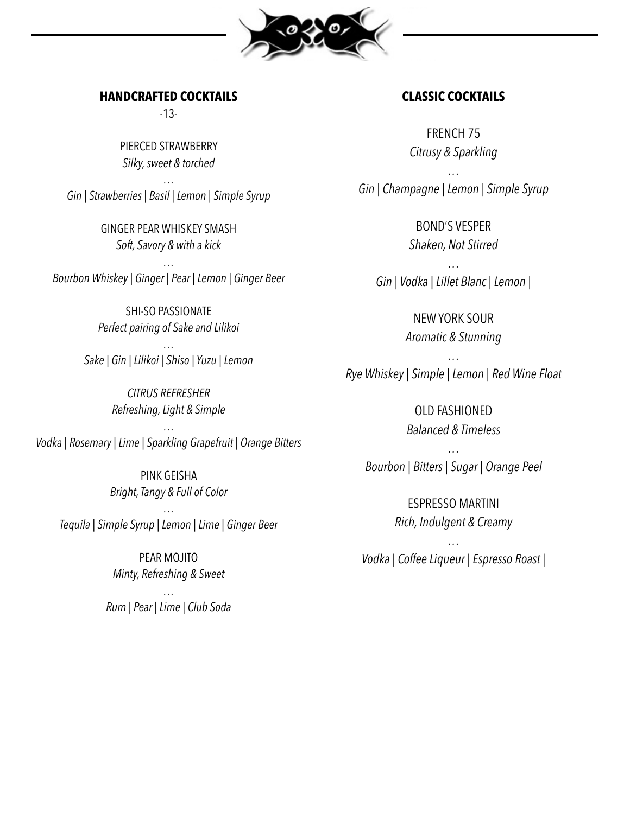

### **HANDCRAFTED COCKTAILS**

-13-

PIERCED STRAWBERRY *Silky, sweet & torched*

*… Gin | Strawberries | Basil | Lemon | Simple Syrup*

> GINGER PEAR WHISKEY SMASH *Soft, Savory & with a kick*

*… Bourbon Whiskey | Ginger | Pear | Lemon | Ginger Beer*

> SHI-SO PASSIONATE *Perfect pairing of Sake and Lilikoi*

*… Sake | Gin | Lilikoi | Shiso | Yuzu | Lemon* 

> *CITRUS REFRESHER Refreshing, Light & Simple*

*… Vodka | Rosemary | Lime | Sparkling Grapefruit | Orange Bitters*

> PINK GEISHA *Bright, Tangy & Full of Color*

*… Tequila | Simple Syrup | Lemon | Lime | Ginger Beer*

> PEAR MOJITO *Minty, Refreshing & Sweet*

*… Rum | Pear | Lime | Club Soda* 

# **CLASSIC COCKTAILS**

FRENCH 75 *Citrusy & Sparkling*

*… Gin | Champagne | Lemon | Simple Syrup*

> BOND'S VESPER *Shaken, Not Stirred*

*… Gin | Vodka | Lillet Blanc | Lemon |*

> NEW YORK SOUR *Aromatic & Stunning*

*… Rye Whiskey | Simple | Lemon | Red Wine Float*

> OLD FASHIONED *Balanced & Timeless*

*… Bourbon | Bitters | Sugar | Orange Peel*

> ESPRESSO MARTINI *Rich, Indulgent & Creamy*

*… Vodka | Coffee Liqueur | Espresso Roast |*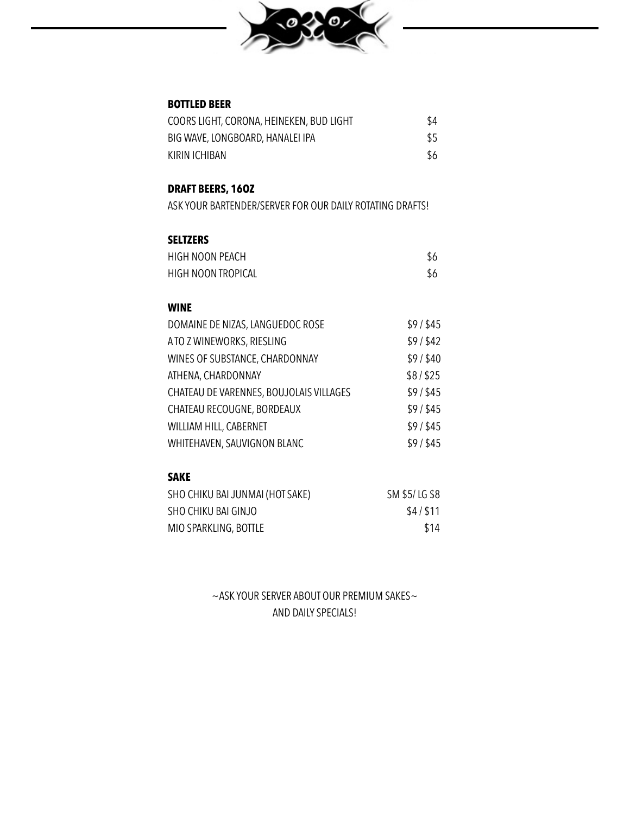

### **BOTTLED BEER**

| COORS LIGHT, CORONA, HEINEKEN, BUD LIGHT | \$4 |
|------------------------------------------|-----|
| BIG WAVE, LONGBOARD, HANALEI IPA         | \$5 |
| KIRIN ICHIBAN                            | \$6 |

## **DRAFT BEERS, 16OZ**

ASK YOUR BARTENDER/SERVER FOR OUR DAILY ROTATING DRAFTS!

### **SELTZERS**

| HIGH NOON PEACH    | \$6 |
|--------------------|-----|
| HIGH NOON TROPICAL | \$6 |

### **WINE**

| DOMAINE DE NIZAS, LANGUEDOC ROSE        | \$9/ \$45 |
|-----------------------------------------|-----------|
| A TO Z WINEWORKS, RIESLING              | \$9/\$42  |
| WINES OF SUBSTANCE, CHARDONNAY          | \$9/\$40  |
| ATHENA, CHARDONNAY                      | \$8/\$25  |
| CHATEAU DE VARENNES, BOUJOLAIS VILLAGES | \$9/\$45  |
| CHATEAU RECOUGNE, BORDEAUX              | \$9/ \$45 |
| WILLIAM HILL, CABERNET                  | \$9/ \$45 |
| WHITEHAVEN, SAUVIGNON BLANC             | \$9/ \$45 |
|                                         |           |

### **SAKE**

| SHO CHIKU BAI JUNMAI (HOT SAKE) | SM \$5/LG \$8 |
|---------------------------------|---------------|
| SHO CHIKU BAI GINJO             | \$4/\$11      |
| MIO SPARKLING, BOTTLE           | \$14          |

 $\sim$  ASK YOUR SERVER ABOUT OUR PREMIUM SAKES $\sim$ AND DAILY SPECIALS!